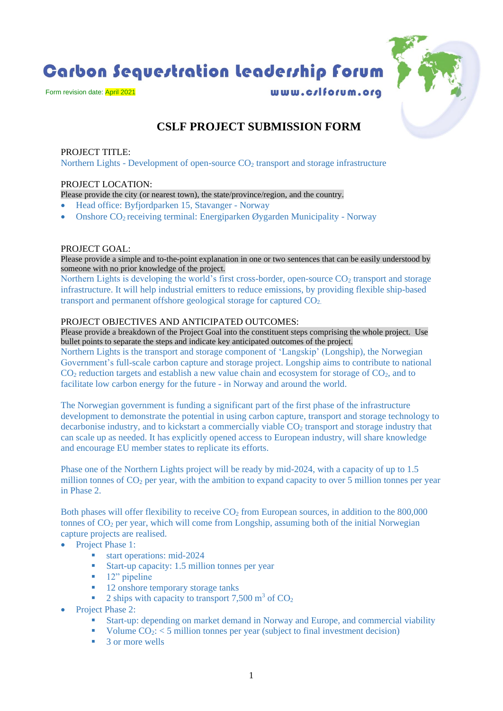Carbon Sequestration Leadership Forum

Form revision date: April 2021

www.c/lforum.org



# **CSLF PROJECT SUBMISSION FORM**

## PROJECT TITLE:

Northern Lights - Development of open-source  $CO<sub>2</sub>$  transport and storage infrastructure

## PROJECT LOCATION:

Please provide the city (or nearest town), the state/province/region, and the country.

- Head office: Byfjordparken 15, Stavanger Norway
- Onshore CO2 receiving terminal: Energiparken Øygarden Municipality Norway

#### PROJECT GOAL:

Please provide a simple and to-the-point explanation in one or two sentences that can be easily understood by someone with no prior knowledge of the project.

Northern Lights is developing the world's first cross-border, open-source  $CO<sub>2</sub>$  transport and storage infrastructure. It will help industrial emitters to reduce emissions, by providing flexible ship-based transport and permanent offshore geological storage for captured  $CO<sub>2</sub>$ .

#### PROJECT OBJECTIVES AND ANTICIPATED OUTCOMES:

Please provide a breakdown of the Project Goal into the constituent steps comprising the whole project. Use bullet points to separate the steps and indicate key anticipated outcomes of the project.

Northern Lights is the transport and storage component of 'Langskip' (Longship), the Norwegian Government's full-scale carbon capture and storage project. Longship aims to contribute to national  $CO<sub>2</sub>$  reduction targets and establish a new value chain and ecosystem for storage of  $CO<sub>2</sub>$ , and to facilitate low carbon energy for the future - in Norway and around the world.

The Norwegian government is funding a significant part of the first phase of the infrastructure development to demonstrate the potential in using carbon capture, transport and storage technology to decarbonise industry, and to kickstart a commercially viable  $CO<sub>2</sub>$  transport and storage industry that can scale up as needed. It has explicitly opened access to European industry, will share knowledge and encourage EU member states to replicate its efforts.

Phase one of the Northern Lights project will be ready by mid-2024, with a capacity of up to 1.5 million tonnes of  $CO<sub>2</sub>$  per year, with the ambition to expand capacity to over 5 million tonnes per year in Phase 2.

Both phases will offer flexibility to receive  $CO<sub>2</sub>$  from European sources, in addition to the 800,000 tonnes of CO<sub>2</sub> per year, which will come from Longship, assuming both of the initial Norwegian capture projects are realised.

- Project Phase 1:
	- start operations: mid-2024
	- Start-up capacity: 1.5 million tonnes per year
	- **■** 12" pipeline
	- 12 onshore temporary storage tanks
	- **•** 2 ships with capacity to transport 7,500  $\text{m}^3$  of  $\text{CO}_2$
- Project Phase 2:
	- Start-up: depending on market demand in Norway and Europe, and commercial viability
	- Volume  $CO_2$ :  $\lt$  5 million tonnes per year (subject to final investment decision)
	- 3 or more wells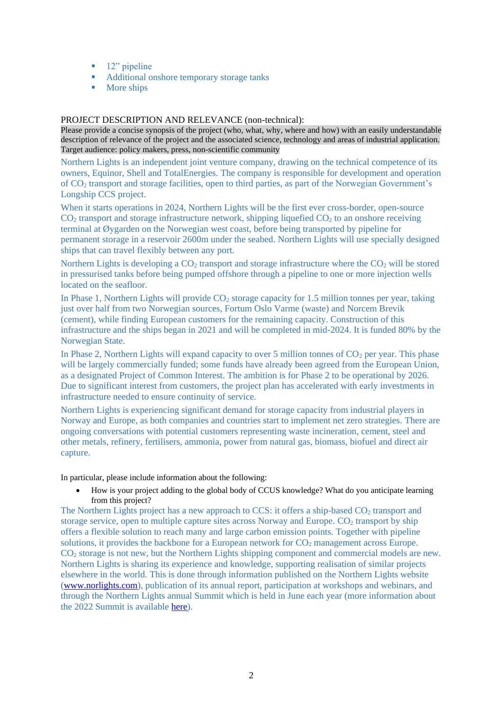- 12" pipeline
- Additional onshore temporary storage tanks
- More ships

#### PROJECT DESCRIPTION AND RELEVANCE (non-technical):

Please provide a concise synopsis of the project (who, what, why, where and how) with an easily understandable description of relevance of the project and the associated science, technology and areas of industrial application. Target audience: policy makers, press, non-scientific community

Northern Lights is an independent joint venture company, drawing on the technical competence of its owners, Equinor, Shell and TotalEnergies. The company is responsible for development and operation of CO<sup>2</sup> transport and storage facilities, open to third parties, as part of the Norwegian Government's Longship CCS project.

When it starts operations in 2024, Northern Lights will be the first ever cross-border, open-source  $CO<sub>2</sub>$  transport and storage infrastructure network, shipping liquefied  $CO<sub>2</sub>$  to an onshore receiving terminal at Øygarden on the Norwegian west coast, before being transported by pipeline for permanent storage in a reservoir 2600m under the seabed. Northern Lights will use specially designed ships that can travel flexibly between any port.

Northern Lights is developing a  $CO<sub>2</sub>$  transport and storage infrastructure where the  $CO<sub>2</sub>$  will be stored in pressurised tanks before being pumped offshore through a pipeline to one or more injection wells located on the seafloor.

In Phase 1, Northern Lights will provide  $CO<sub>2</sub>$  storage capacity for 1.5 million tonnes per year, taking just over half from two Norwegian sources, Fortum Oslo Varme (waste) and Norcem Brevik (cement), while finding European customers for the remaining capacity. Construction of this infrastructure and the ships began in 2021 and will be completed in mid-2024. It is funded 80% by the Norwegian State.

In Phase 2, Northern Lights will expand capacity to over 5 million tonnes of  $CO<sub>2</sub>$  per year. This phase will be largely commercially funded; some funds have already been agreed from the European Union, as a designated Project of Common Interest. The ambition is for Phase 2 to be operational by 2026. Due to significant interest from customers, the project plan has accelerated with early investments in infrastructure needed to ensure continuity of service.

Northern Lights is experiencing significant demand for storage capacity from industrial players in Norway and Europe, as both companies and countries start to implement net zero strategies. There are ongoing conversations with potential customers representing waste incineration, cement, steel and other metals, refinery, fertilisers, ammonia, power from natural gas, biomass, biofuel and direct air capture.

In particular, please include information about the following:

• How is your project adding to the global body of CCUS knowledge? What do you anticipate learning from this project?

The Northern Lights project has a new approach to CCS: it offers a ship-based CO<sub>2</sub> transport and storage service, open to multiple capture sites across Norway and Europe.  $CO<sub>2</sub>$  transport by ship offers a flexible solution to reach many and large carbon emission points. Together with pipeline solutions, it provides the backbone for a European network for  $CO<sub>2</sub>$  management across Europe. CO<sup>2</sup> storage is not new, but the Northern Lights shipping component and commercial models are new. Northern Lights is sharing its experience and knowledge, supporting realisation of similar projects elsewhere in the world. This is done through information published on the Northern Lights website [\(www.norlights.com\)](http://www.norlights.com/), publication of its annual report, participation at workshops and webinars, and through the Northern Lights annual Summit which is held in June each year (more information about the 2022 Summit is available [here\)](https://norlights.com/news/join-us-at-the-northern-lights-summit-2022/).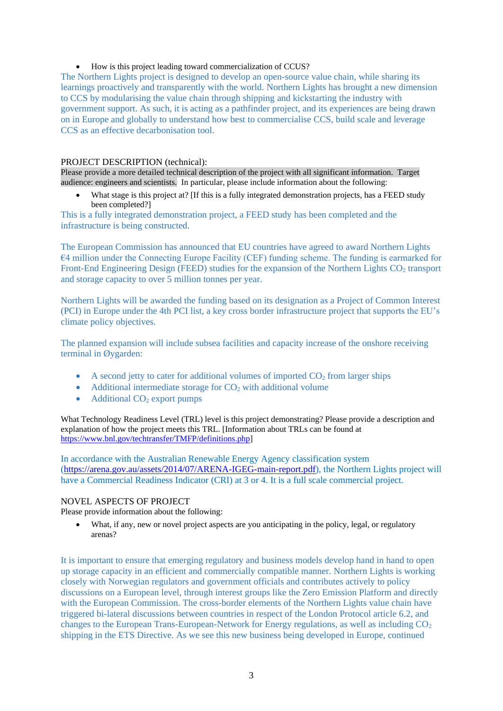#### • How is this project leading toward commercialization of CCUS?

The Northern Lights project is designed to develop an open-source value chain, while sharing its learnings proactively and transparently with the world. Northern Lights has brought a new dimension to CCS by modularising the value chain through shipping and kickstarting the industry with government support. As such, it is acting as a pathfinder project, and its experiences are being drawn on in Europe and globally to understand how best to commercialise CCS, build scale and leverage CCS as an effective decarbonisation tool.

#### PROJECT DESCRIPTION (technical):

Please provide a more detailed technical description of the project with all significant information. Target audience: engineers and scientists. In particular, please include information about the following:

• What stage is this project at? If this is a fully integrated demonstration projects, has a FEED study been completed?]

This is a fully integrated demonstration project, a FEED study has been completed and the infrastructure is being constructed.

The European Commission has announced that EU countries have agreed to award Northern Lights €4 million under the Connecting Europe Facility (CEF) funding scheme. The funding is earmarked for Front-End Engineering Design (FEED) studies for the expansion of the Northern Lights CO<sub>2</sub> transport and storage capacity to over 5 million tonnes per year.

Northern Lights will be awarded the funding based on its designation as a Project of Common Interest (PCI) in Europe under the 4th PCI list, a key cross border infrastructure project that supports the EU's climate policy objectives.

The planned expansion will include subsea facilities and capacity increase of the onshore receiving terminal in Øygarden:

- A second jetty to cater for additional volumes of imported  $CO<sub>2</sub>$  from larger ships
- Additional intermediate storage for  $CO<sub>2</sub>$  with additional volume
- Additional  $CO<sub>2</sub>$  export pumps

What Technology Readiness Level (TRL) level is this project demonstrating? Please provide a description and explanation of how the project meets this TRL. [Information about TRLs can be found at [https://www.bnl.gov/techtransfer/TMFP/definitions.php\]](https://www.bnl.gov/techtransfer/TMFP/definitions.php)

In accordance with the Australian Renewable Energy Agency classification system [\(https://arena.gov.au/assets/2014/07/ARENA-IGEG-main-report.pdf\)](https://nor01.safelinks.protection.outlook.com/?url=https%3A%2F%2Farena.gov.au%2Fassets%2F2014%2F07%2FARENA-IGEG-main-report.pdf&data=05%7C01%7Cpaola.brunetta%40norlights.com%7C64ef2891ade24a43255808da2e6a2884%7C0bf0af245b7e443b9069b4dd43b13c1c%7C0%7C0%7C637873330988003974%7CUnknown%7CTWFpbGZsb3d8eyJWIjoiMC4wLjAwMDAiLCJQIjoiV2luMzIiLCJBTiI6Ik1haWwiLCJXVCI6Mn0%3D%7C3000%7C%7C%7C&sdata=kocFmbEh%2BGpXkXqPmxYfKLxiiFWxmm%2BCFbdoV1yeKtQ%3D&reserved=0), the Northern Lights project will have a Commercial Readiness Indicator (CRI) at 3 or 4. It is a full scale commercial project.

#### NOVEL ASPECTS OF PROJECT

Please provide information about the following:

• What, if any, new or novel project aspects are you anticipating in the policy, legal, or regulatory arenas?

It is important to ensure that emerging regulatory and business models develop hand in hand to open up storage capacity in an efficient and commercially compatible manner. Northern Lights is working closely with Norwegian regulators and government officials and contributes actively to policy discussions on a European level, through interest groups like the Zero Emission Platform and directly with the European Commission. The cross-border elements of the Northern Lights value chain have triggered bi-lateral discussions between countries in respect of the London Protocol article 6.2, and changes to the European Trans-European-Network for Energy regulations, as well as including  $CO<sub>2</sub>$ shipping in the ETS Directive. As we see this new business being developed in Europe, continued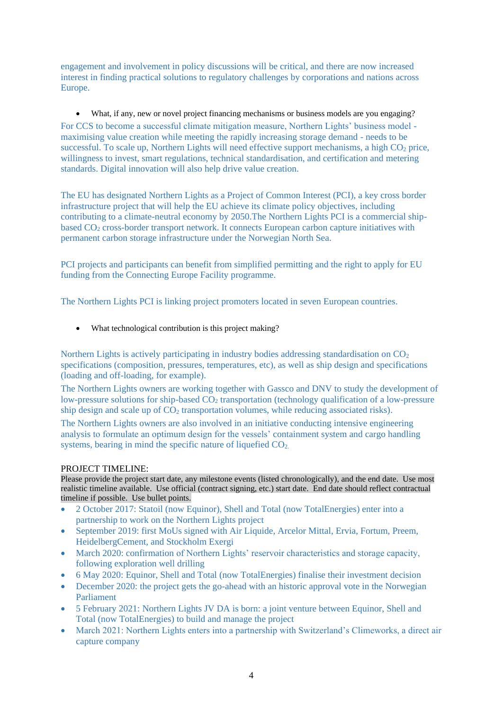engagement and involvement in policy discussions will be critical, and there are now increased interest in finding practical solutions to regulatory challenges by corporations and nations across Europe.

• What, if any, new or novel project financing mechanisms or business models are you engaging? For CCS to become a successful climate mitigation measure, Northern Lights' business model maximising value creation while meeting the rapidly increasing storage demand - needs to be successful. To scale up, Northern Lights will need effective support mechanisms, a high  $CO<sub>2</sub>$  price, willingness to invest, smart regulations, technical standardisation, and certification and metering standards. Digital innovation will also help drive value creation.

The EU has designated Northern Lights as a Project of Common Interest (PCI), a key cross border infrastructure project that will help the EU achieve its climate policy objectives, including contributing to a climate-neutral economy by 2050.The Northern Lights PCI is a commercial shipbased CO<sup>2</sup> cross-border transport network. It connects European carbon capture initiatives with permanent carbon storage infrastructure under the Norwegian North Sea.

PCI projects and participants can benefit from simplified permitting and the right to apply for EU funding from the Connecting Europe Facility programme.

The Northern Lights PCI is linking project promoters located in seven European countries.

• What technological contribution is this project making?

Northern Lights is actively participating in industry bodies addressing standardisation on  $CO<sub>2</sub>$ specifications (composition, pressures, temperatures, etc), as well as ship design and specifications (loading and off-loading, for example).

The Northern Lights owners are working together with Gassco and DNV to study the development of low-pressure solutions for ship-based CO<sub>2</sub> transportation (technology qualification of a low-pressure ship design and scale up of CO<sub>2</sub> transportation volumes, while reducing associated risks).

The Northern Lights owners are also involved in an initiative conducting intensive engineering analysis to formulate an optimum design for the vessels' containment system and cargo handling systems, bearing in mind the specific nature of liquefied  $CO<sub>2</sub>$ .

#### PROJECT TIMELINE:

Please provide the project start date, any milestone events (listed chronologically), and the end date. Use most realistic timeline available. Use official (contract signing, etc.) start date. End date should reflect contractual timeline if possible. Use bullet points.

- 2 October 2017: Statoil (now Equinor), Shell and Total (now TotalEnergies) enter into a partnership to work on the Northern Lights project
- September 2019: first MoUs signed with Air Liquide, Arcelor Mittal, Ervia, Fortum, Preem, HeidelbergCement, and Stockholm Exergi
- March 2020: confirmation of Northern Lights' reservoir characteristics and storage capacity, following exploration well drilling
- 6 May 2020: Equinor, Shell and Total (now TotalEnergies) finalise their investment decision
- December 2020: the project gets the go-ahead with an historic approval vote in the Norwegian Parliament
- 5 February 2021: Northern Lights JV DA is born: a joint venture between Equinor, Shell and Total (now TotalEnergies) to build and manage the project
- March 2021: Northern Lights enters into a partnership with Switzerland's Climeworks, a direct air capture company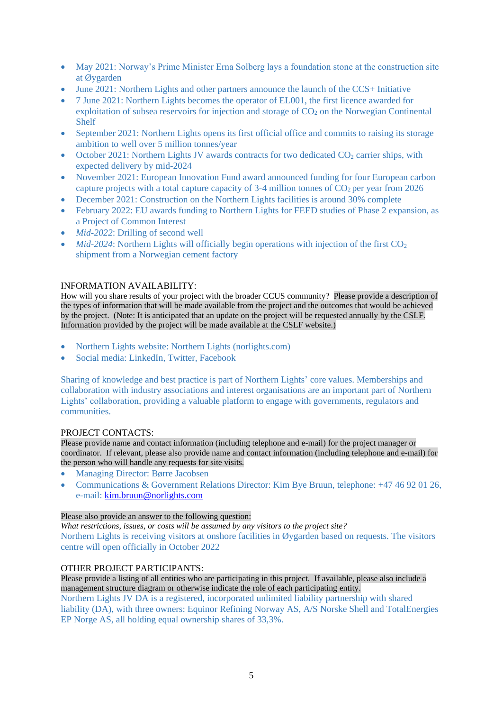- May 2021: Norway's Prime Minister Erna Solberg lays a foundation stone at the construction site at Øygarden
- June 2021: Northern Lights and other partners announce the launch of the CCS+ Initiative
- 7 June 2021: Northern Lights becomes the operator of EL001, the first licence awarded for exploitation of subsea reservoirs for injection and storage of  $CO<sub>2</sub>$  on the Norwegian Continental Shelf
- September 2021: Northern Lights opens its first official office and commits to raising its storage ambition to well over 5 million tonnes/year
- October 2021: Northern Lights JV awards contracts for two dedicated  $CO<sub>2</sub>$  carrier ships, with expected delivery by mid-2024
- November 2021: European Innovation Fund award announced funding for four European carbon capture projects with a total capture capacity of  $3-4$  million tonnes of  $CO<sub>2</sub>$  per year from 2026
- December 2021: Construction on the Northern Lights facilities is around 30% complete
- February 2022: EU awards funding to Northern Lights for FEED studies of Phase 2 expansion, as a Project of Common Interest
- *Mid-2022*: Drilling of second well
- *Mid-2024*: Northern Lights will officially begin operations with injection of the first  $CO<sub>2</sub>$ shipment from a Norwegian cement factory

#### INFORMATION AVAILABILITY:

How will you share results of your project with the broader CCUS community? Please provide a description of the types of information that will be made available from the project and the outcomes that would be achieved by the project. (Note: It is anticipated that an update on the project will be requested annually by the CSLF. Information provided by the project will be made available at the CSLF website.)

- Northern Lights website: [Northern Lights \(norlights.com\)](https://norlights.com/)
- Social media: LinkedIn, Twitter, Facebook

Sharing of knowledge and best practice is part of Northern Lights' core values. Memberships and collaboration with industry associations and interest organisations are an important part of Northern Lights' collaboration, providing a valuable platform to engage with governments, regulators and communities.

#### PROJECT CONTACTS:

Please provide name and contact information (including telephone and e-mail) for the project manager or coordinator. If relevant, please also provide name and contact information (including telephone and e-mail) for the person who will handle any requests for site visits.

- Managing Director: Børre Jacobsen
- Communications & Government Relations Director: Kim Bye Bruun, telephone: +47 46 92 01 26, e-mail: [kim.bruun@norlights.com](mailto:kim.bruun@norlights.com)

#### Please also provide an answer to the following question:

*What restrictions, issues, or costs will be assumed by any visitors to the project site?* Northern Lights is receiving visitors at onshore facilities in Øygarden based on requests. The visitors centre will open officially in October 2022

#### OTHER PROJECT PARTICIPANTS:

Please provide a listing of all entities who are participating in this project. If available, please also include a management structure diagram or otherwise indicate the role of each participating entity.

Northern Lights JV DA is a registered, incorporated unlimited liability partnership with shared liability (DA), with three owners: Equinor Refining Norway AS, A/S Norske Shell and TotalEnergies EP Norge AS, all holding equal ownership shares of 33,3%.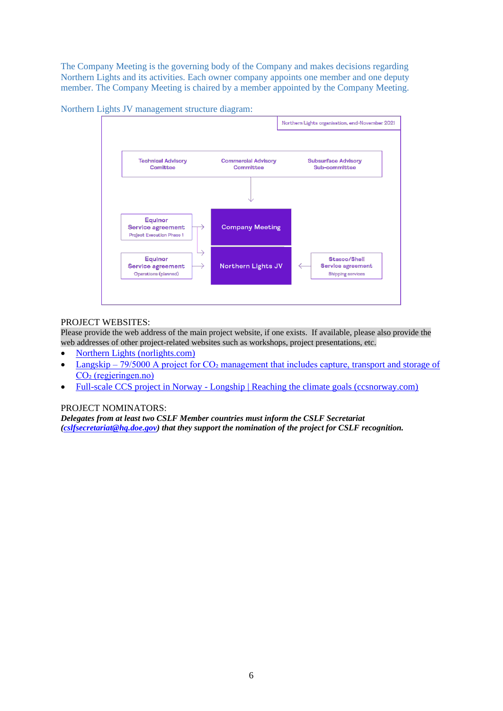The Company Meeting is the governing body of the Company and makes decisions regarding Northern Lights and its activities. Each owner company appoints one member and one deputy member. The Company Meeting is chaired by a member appointed by the Company Meeting.





## PROJECT WEBSITES:

Please provide the web address of the main project website, if one exists. If available, please also provide the web addresses of other project-related websites such as workshops, project presentations, etc.

- [Northern Lights \(norlights.com\)](https://norlights.com/)
- Langskip 79/5000 A project for  $CO<sub>2</sub>$  management that includes capture, transport and storage of CO<sub>2</sub> (regjeringen.no)
- Full-scale CCS project in Norway [Longship | Reaching the climate goals \(ccsnorway.com\)](https://ccsnorway.com/)

#### PROJECT NOMINATORS:

*Delegates from at least two CSLF Member countries must inform the CSLF Secretariat [\(cslfsecretariat@hq.doe.gov\)](mailto:cslfsecretariat@hq.doe.gov) that they support the nomination of the project for CSLF recognition.*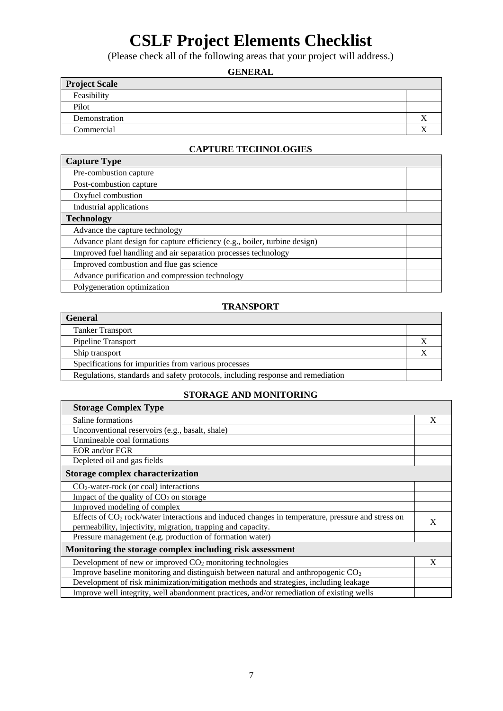# **CSLF Project Elements Checklist**

(Please check all of the following areas that your project will address.)

# **GENERAL**

| <b>Project Scale</b> |  |
|----------------------|--|
| Feasibility          |  |
| Pilot                |  |
| Demonstration        |  |
| Commercial           |  |

# **CAPTURE TECHNOLOGIES**

| <b>Capture Type</b>                                                        |  |
|----------------------------------------------------------------------------|--|
| Pre-combustion capture                                                     |  |
| Post-combustion capture                                                    |  |
| Oxyfuel combustion                                                         |  |
| Industrial applications                                                    |  |
| <b>Technology</b>                                                          |  |
| Advance the capture technology                                             |  |
| Advance plant design for capture efficiency (e.g., boiler, turbine design) |  |
| Improved fuel handling and air separation processes technology             |  |
| Improved combustion and flue gas science                                   |  |
| Advance purification and compression technology                            |  |
| Polygeneration optimization                                                |  |

## **TRANSPORT**

| <b>General</b>                                                                  |  |
|---------------------------------------------------------------------------------|--|
| <b>Tanker Transport</b>                                                         |  |
| Pipeline Transport                                                              |  |
| Ship transport                                                                  |  |
| Specifications for impurities from various processes                            |  |
| Regulations, standards and safety protocols, including response and remediation |  |

# **STORAGE AND MONITORING**

| <b>Storage Complex Type</b>                                                                                   |   |
|---------------------------------------------------------------------------------------------------------------|---|
| Saline formations                                                                                             | X |
| Unconventional reservoirs (e.g., basalt, shale)                                                               |   |
| Unmineable coal formations                                                                                    |   |
| EOR and/or EGR                                                                                                |   |
| Depleted oil and gas fields                                                                                   |   |
| Storage complex characterization                                                                              |   |
| $CO2$ -water-rock (or coal) interactions                                                                      |   |
| Impact of the quality of $CO2$ on storage                                                                     |   |
| Improved modeling of complex                                                                                  |   |
| Effects of CO <sub>2</sub> rock/water interactions and induced changes in temperature, pressure and stress on | X |
| permeability, injectivity, migration, trapping and capacity.                                                  |   |
| Pressure management (e.g. production of formation water)                                                      |   |
| Monitoring the storage complex including risk assessment                                                      |   |
| Development of new or improved $CO2$ monitoring technologies                                                  | X |
| Improve baseline monitoring and distinguish between natural and anthropogenic $CO2$                           |   |
| Development of risk minimization/mitigation methods and strategies, including leakage                         |   |
| Improve well integrity, well abandonment practices, and/or remediation of existing wells                      |   |